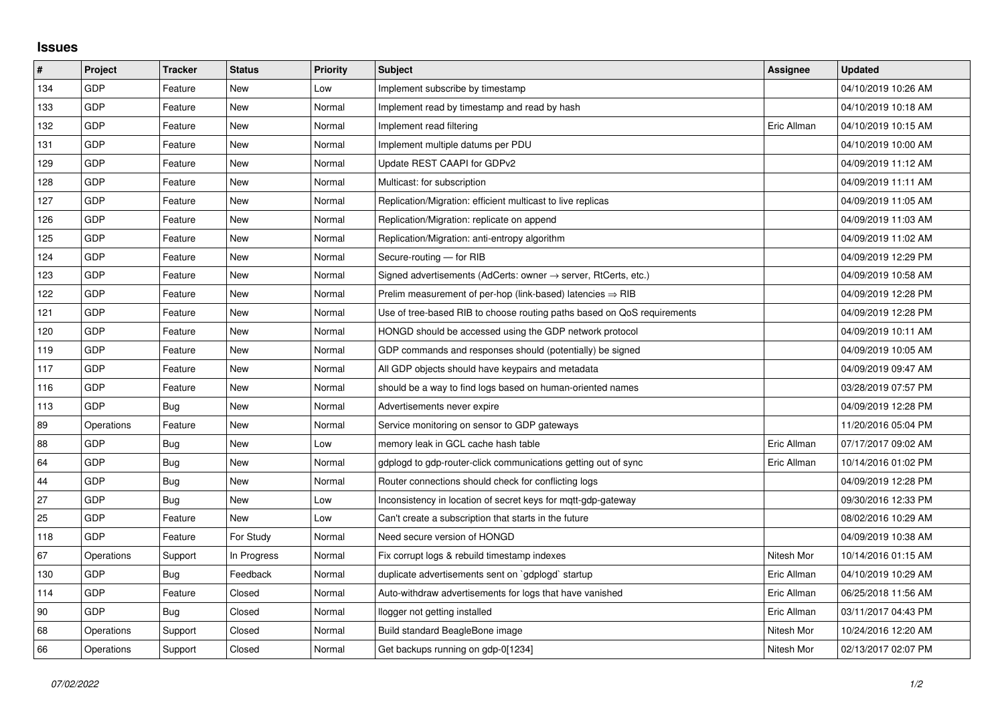## **Issues**

| $\sharp$ | Project    | <b>Tracker</b> | <b>Status</b> | <b>Priority</b> | <b>Subject</b>                                                             | Assignee    | <b>Updated</b>      |
|----------|------------|----------------|---------------|-----------------|----------------------------------------------------------------------------|-------------|---------------------|
| 134      | GDP        | Feature        | <b>New</b>    | Low             | Implement subscribe by timestamp                                           |             | 04/10/2019 10:26 AM |
| 133      | GDP        | Feature        | New           | Normal          | Implement read by timestamp and read by hash                               |             | 04/10/2019 10:18 AM |
| 132      | GDP        | Feature        | New           | Normal          | Implement read filtering                                                   | Eric Allman | 04/10/2019 10:15 AM |
| 131      | GDP        | Feature        | New           | Normal          | Implement multiple datums per PDU                                          |             | 04/10/2019 10:00 AM |
| 129      | GDP        | Feature        | New           | Normal          | Update REST CAAPI for GDPv2                                                |             | 04/09/2019 11:12 AM |
| 128      | GDP        | Feature        | New           | Normal          | Multicast: for subscription                                                |             | 04/09/2019 11:11 AM |
| 127      | GDP        | Feature        | New           | Normal          | Replication/Migration: efficient multicast to live replicas                |             | 04/09/2019 11:05 AM |
| 126      | GDP        | Feature        | New           | Normal          | Replication/Migration: replicate on append                                 |             | 04/09/2019 11:03 AM |
| 125      | GDP        | Feature        | New           | Normal          | Replication/Migration: anti-entropy algorithm                              |             | 04/09/2019 11:02 AM |
| 124      | GDP        | Feature        | New           | Normal          | Secure-routing - for RIB                                                   |             | 04/09/2019 12:29 PM |
| 123      | GDP        | Feature        | New           | Normal          | Signed advertisements (AdCerts: owner $\rightarrow$ server, RtCerts, etc.) |             | 04/09/2019 10:58 AM |
| 122      | GDP        | Feature        | New           | Normal          | Prelim measurement of per-hop (link-based) latencies $\Rightarrow$ RIB     |             | 04/09/2019 12:28 PM |
| 121      | GDP        | Feature        | <b>New</b>    | Normal          | Use of tree-based RIB to choose routing paths based on QoS requirements    |             | 04/09/2019 12:28 PM |
| 120      | GDP        | Feature        | New           | Normal          | HONGD should be accessed using the GDP network protocol                    |             | 04/09/2019 10:11 AM |
| 119      | GDP        | Feature        | New           | Normal          | GDP commands and responses should (potentially) be signed                  |             | 04/09/2019 10:05 AM |
| 117      | GDP        | Feature        | <b>New</b>    | Normal          | All GDP objects should have keypairs and metadata                          |             | 04/09/2019 09:47 AM |
| 116      | GDP        | Feature        | New           | Normal          | should be a way to find logs based on human-oriented names                 |             | 03/28/2019 07:57 PM |
| 113      | GDP        | Bug            | New           | Normal          | Advertisements never expire                                                |             | 04/09/2019 12:28 PM |
| 89       | Operations | Feature        | <b>New</b>    | Normal          | Service monitoring on sensor to GDP gateways                               |             | 11/20/2016 05:04 PM |
| 88       | GDP        | Bug            | New           | Low             | memory leak in GCL cache hash table                                        | Eric Allman | 07/17/2017 09:02 AM |
| 64       | GDP        | Bug            | New           | Normal          | gdplogd to gdp-router-click communications getting out of sync             | Eric Allman | 10/14/2016 01:02 PM |
| 44       | GDP        | Bug            | New           | Normal          | Router connections should check for conflicting logs                       |             | 04/09/2019 12:28 PM |
| 27       | GDP        | Bug            | New           | Low             | Inconsistency in location of secret keys for mgtt-gdp-gateway              |             | 09/30/2016 12:33 PM |
| 25       | GDP        | Feature        | New           | Low             | Can't create a subscription that starts in the future                      |             | 08/02/2016 10:29 AM |
| 118      | GDP        | Feature        | For Study     | Normal          | Need secure version of HONGD                                               |             | 04/09/2019 10:38 AM |
| 67       | Operations | Support        | In Progress   | Normal          | Fix corrupt logs & rebuild timestamp indexes                               | Nitesh Mor  | 10/14/2016 01:15 AM |
| 130      | GDP        | Bug            | Feedback      | Normal          | duplicate advertisements sent on `gdplogd` startup                         | Eric Allman | 04/10/2019 10:29 AM |
| 114      | GDP        | Feature        | Closed        | Normal          | Auto-withdraw advertisements for logs that have vanished                   | Eric Allman | 06/25/2018 11:56 AM |
| 90       | <b>GDP</b> | Bug            | Closed        | Normal          | llogger not getting installed                                              | Eric Allman | 03/11/2017 04:43 PM |
| 68       | Operations | Support        | Closed        | Normal          | Build standard BeagleBone image                                            | Nitesh Mor  | 10/24/2016 12:20 AM |
| 66       | Operations | Support        | Closed        | Normal          | Get backups running on gdp-0[1234]                                         | Nitesh Mor  | 02/13/2017 02:07 PM |